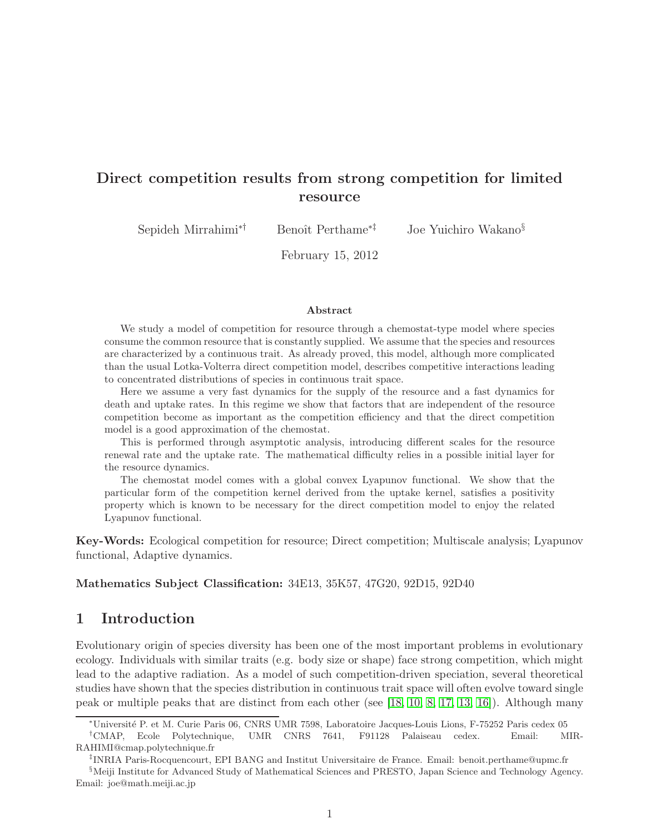# Direct competition results from strong competition for limited resource

Sepideh Mirrahimi<sup>∗†</sup> Benoît Perthame<sup>∗‡</sup> Joe Yuichiro Wakano<sup>§</sup>

February 15, 2012

#### Abstract

We study a model of competition for resource through a chemostat-type model where species consume the common resource that is constantly supplied. We assume that the species and resources are characterized by a continuous trait. As already proved, this model, although more complicated than the usual Lotka-Volterra direct competition model, describes competitive interactions leading to concentrated distributions of species in continuous trait space.

Here we assume a very fast dynamics for the supply of the resource and a fast dynamics for death and uptake rates. In this regime we show that factors that are independent of the resource competition become as important as the competition efficiency and that the direct competition model is a good approximation of the chemostat.

This is performed through asymptotic analysis, introducing different scales for the resource renewal rate and the uptake rate. The mathematical difficulty relies in a possible initial layer for the resource dynamics.

The chemostat model comes with a global convex Lyapunov functional. We show that the particular form of the competition kernel derived from the uptake kernel, satisfies a positivity property which is known to be necessary for the direct competition model to enjoy the related Lyapunov functional.

Key-Words: Ecological competition for resource; Direct competition; Multiscale analysis; Lyapunov functional, Adaptive dynamics.

#### Mathematics Subject Classification: 34E13, 35K57, 47G20, 92D15, 92D40

# 1 Introduction

Evolutionary origin of species diversity has been one of the most important problems in evolutionary ecology. Individuals with similar traits (e.g. body size or shape) face strong competition, which might lead to the adaptive radiation. As a model of such competition-driven speciation, several theoretical studies have shown that the species distribution in continuous trait space will often evolve toward single peak or multiple peaks that are distinct from each other (see [\[18,](#page-12-0) [10,](#page-12-1) [8,](#page-12-2) [17,](#page-12-3) [13,](#page-12-4) [16\]](#page-12-5)). Although many

<sup>∗</sup>Universit´e P. et M. Curie Paris 06, CNRS UMR 7598, Laboratoire Jacques-Louis Lions, F-75252 Paris cedex 05

<sup>†</sup>CMAP, Ecole Polytechnique, UMR CNRS 7641, F91128 Palaiseau cedex. Email: MIR-RAHIMI@cmap.polytechnique.fr

<sup>‡</sup> INRIA Paris-Rocquencourt, EPI BANG and Institut Universitaire de France. Email: benoit.perthame@upmc.fr

<sup>§</sup>Meiji Institute for Advanced Study of Mathematical Sciences and PRESTO, Japan Science and Technology Agency. Email: joe@math.meiji.ac.jp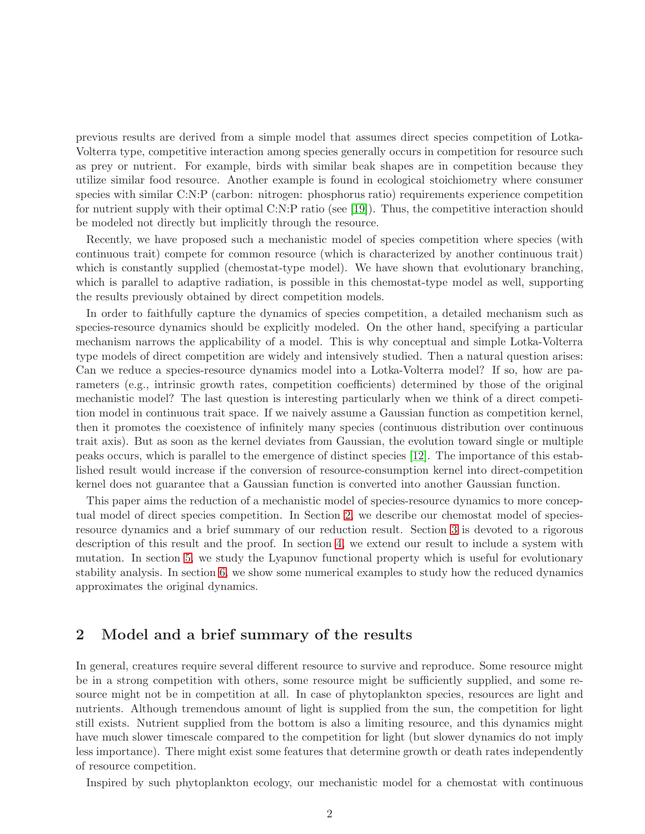previous results are derived from a simple model that assumes direct species competition of Lotka-Volterra type, competitive interaction among species generally occurs in competition for resource such as prey or nutrient. For example, birds with similar beak shapes are in competition because they utilize similar food resource. Another example is found in ecological stoichiometry where consumer species with similar C:N:P (carbon: nitrogen: phosphorus ratio) requirements experience competition for nutrient supply with their optimal C:N:P ratio (see [\[19\]](#page-12-6)). Thus, the competitive interaction should be modeled not directly but implicitly through the resource.

Recently, we have proposed such a mechanistic model of species competition where species (with continuous trait) compete for common resource (which is characterized by another continuous trait) which is constantly supplied (chemostat-type model). We have shown that evolutionary branching, which is parallel to adaptive radiation, is possible in this chemostat-type model as well, supporting the results previously obtained by direct competition models.

In order to faithfully capture the dynamics of species competition, a detailed mechanism such as species-resource dynamics should be explicitly modeled. On the other hand, specifying a particular mechanism narrows the applicability of a model. This is why conceptual and simple Lotka-Volterra type models of direct competition are widely and intensively studied. Then a natural question arises: Can we reduce a species-resource dynamics model into a Lotka-Volterra model? If so, how are parameters (e.g., intrinsic growth rates, competition coefficients) determined by those of the original mechanistic model? The last question is interesting particularly when we think of a direct competition model in continuous trait space. If we naively assume a Gaussian function as competition kernel, then it promotes the coexistence of infinitely many species (continuous distribution over continuous trait axis). But as soon as the kernel deviates from Gaussian, the evolution toward single or multiple peaks occurs, which is parallel to the emergence of distinct species [\[12\]](#page-12-7). The importance of this established result would increase if the conversion of resource-consumption kernel into direct-competition kernel does not guarantee that a Gaussian function is converted into another Gaussian function.

This paper aims the reduction of a mechanistic model of species-resource dynamics to more conceptual model of direct species competition. In Section [2,](#page-1-0) we describe our chemostat model of speciesresource dynamics and a brief summary of our reduction result. Section [3](#page-4-0) is devoted to a rigorous description of this result and the proof. In section [4,](#page-6-0) we extend our result to include a system with mutation. In section [5,](#page-7-0) we study the Lyapunov functional property which is useful for evolutionary stability analysis. In section [6,](#page-9-0) we show some numerical examples to study how the reduced dynamics approximates the original dynamics.

# <span id="page-1-0"></span>2 Model and a brief summary of the results

In general, creatures require several different resource to survive and reproduce. Some resource might be in a strong competition with others, some resource might be sufficiently supplied, and some resource might not be in competition at all. In case of phytoplankton species, resources are light and nutrients. Although tremendous amount of light is supplied from the sun, the competition for light still exists. Nutrient supplied from the bottom is also a limiting resource, and this dynamics might have much slower timescale compared to the competition for light (but slower dynamics do not imply less importance). There might exist some features that determine growth or death rates independently of resource competition.

Inspired by such phytoplankton ecology, our mechanistic model for a chemostat with continuous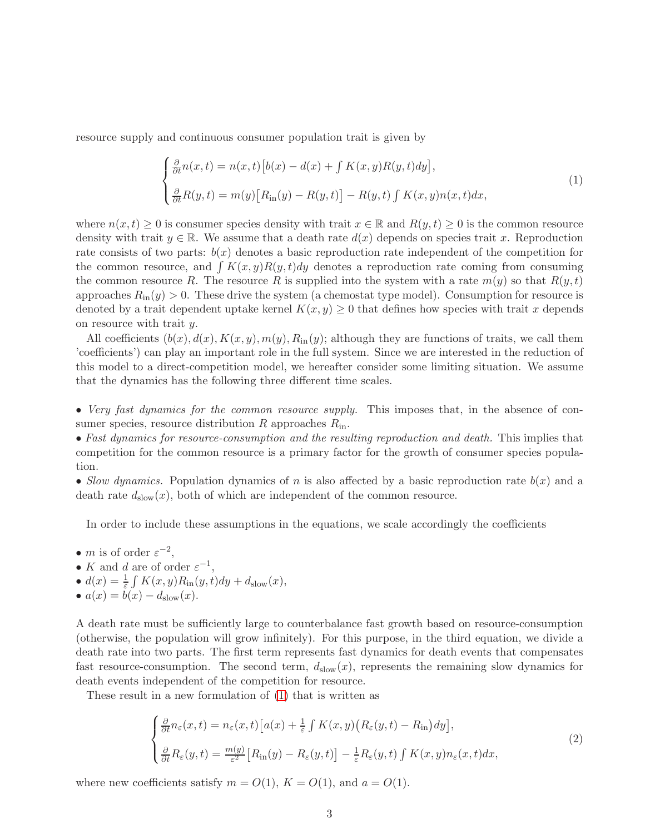resource supply and continuous consumer population trait is given by

<span id="page-2-0"></span>
$$
\begin{cases} \frac{\partial}{\partial t} n(x,t) = n(x,t) \left[ b(x) - d(x) + \int K(x,y) R(y,t) dy \right], \\ \frac{\partial}{\partial t} R(y,t) = m(y) \left[ R_{\text{in}}(y) - R(y,t) \right] - R(y,t) \int K(x,y) n(x,t) dx, \end{cases}
$$
\n(1)

where  $n(x, t) \geq 0$  is consumer species density with trait  $x \in \mathbb{R}$  and  $R(y, t) \geq 0$  is the common resource density with trait  $y \in \mathbb{R}$ . We assume that a death rate  $d(x)$  depends on species trait x. Reproduction rate consists of two parts:  $b(x)$  denotes a basic reproduction rate independent of the competition for the common resource, and  $\int K(x, y)R(y, t)dy$  denotes a reproduction rate coming from consuming the common resource R. The resource R is supplied into the system with a rate  $m(y)$  so that  $R(y, t)$ approaches  $R_{\rm in}(y) > 0$ . These drive the system (a chemostat type model). Consumption for resource is denoted by a trait dependent uptake kernel  $K(x, y) \geq 0$  that defines how species with trait x depends on resource with trait y.

All coefficients  $(b(x), d(x), K(x, y), m(y), R_{\text{in}}(y)$ ; although they are functions of traits, we call them 'coefficients') can play an important role in the full system. Since we are interested in the reduction of this model to a direct-competition model, we hereafter consider some limiting situation. We assume that the dynamics has the following three different time scales.

• *Very fast dynamics for the common resource supply.* This imposes that, in the absence of consumer species, resource distribution R approaches  $R_{\rm in}$ .

• *Fast dynamics for resource-consumption and the resulting reproduction and death.* This implies that competition for the common resource is a primary factor for the growth of consumer species population.

• *Slow dynamics.* Population dynamics of n is also affected by a basic reproduction rate  $b(x)$  and a death rate  $d_{slow}(x)$ , both of which are independent of the common resource.

In order to include these assumptions in the equations, we scale accordingly the coefficients

- *m* is of order  $\varepsilon^{-2}$ ,
- K and d are of order  $\varepsilon^{-1}$ ,
- $d(x) = \frac{1}{\varepsilon} \int K(x, y) R_{\text{in}}(y, t) dy + d_{\text{slow}}(x),$
- $a(x) = b(x) d_{\text{slow}}(x)$ .

A death rate must be sufficiently large to counterbalance fast growth based on resource-consumption (otherwise, the population will grow infinitely). For this purpose, in the third equation, we divide a death rate into two parts. The first term represents fast dynamics for death events that compensates fast resource-consumption. The second term,  $d_{slow}(x)$ , represents the remaining slow dynamics for death events independent of the competition for resource.

These result in a new formulation of [\(1\)](#page-2-0) that is written as

<span id="page-2-1"></span>
$$
\begin{cases} \frac{\partial}{\partial t} n_{\varepsilon}(x,t) = n_{\varepsilon}(x,t) \left[ a(x) + \frac{1}{\varepsilon} \int K(x,y) \left( R_{\varepsilon}(y,t) - R_{\text{in}} \right) dy \right], \\ \frac{\partial}{\partial t} R_{\varepsilon}(y,t) = \frac{m(y)}{\varepsilon^{2}} \left[ R_{\text{in}}(y) - R_{\varepsilon}(y,t) \right] - \frac{1}{\varepsilon} R_{\varepsilon}(y,t) \int K(x,y) n_{\varepsilon}(x,t) dx, \end{cases}
$$
(2)

where new coefficients satisfy  $m = O(1)$ ,  $K = O(1)$ , and  $a = O(1)$ .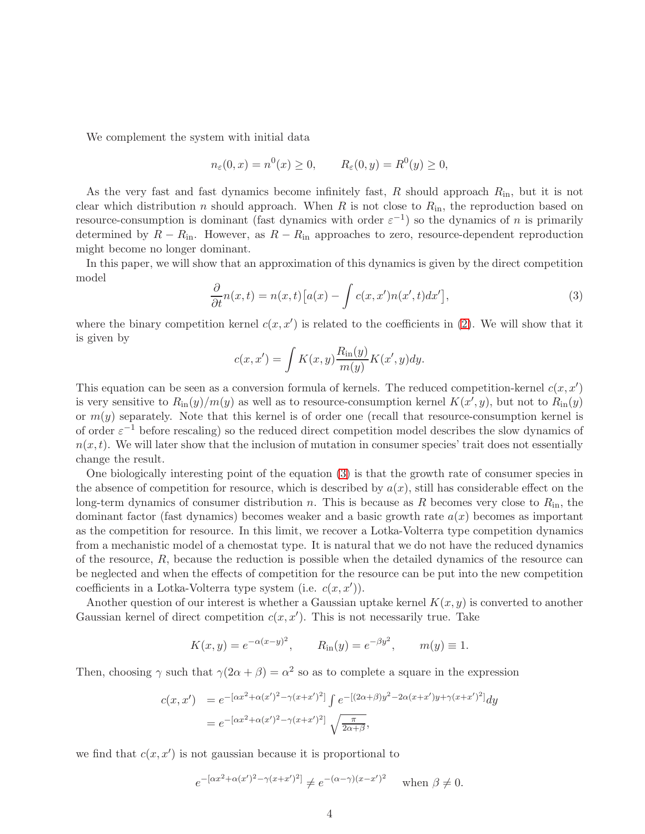We complement the system with initial data

$$
n_{\varepsilon}(0, x) = n^{0}(x) \ge 0, \qquad R_{\varepsilon}(0, y) = R^{0}(y) \ge 0,
$$

As the very fast and fast dynamics become infinitely fast, R should approach  $R_{\text{in}}$ , but it is not clear which distribution n should approach. When R is not close to  $R_{\rm in}$ , the reproduction based on resource-consumption is dominant (fast dynamics with order  $\varepsilon^{-1}$ ) so the dynamics of *n* is primarily determined by  $R - R_{\text{in}}$ . However, as  $R - R_{\text{in}}$  approaches to zero, resource-dependent reproduction might become no longer dominant.

In this paper, we will show that an approximation of this dynamics is given by the direct competition model

<span id="page-3-0"></span>
$$
\frac{\partial}{\partial t}n(x,t) = n(x,t)[a(x) - \int c(x,x')n(x',t)dx'],\tag{3}
$$

where the binary competition kernel  $c(x, x')$  is related to the coefficients in [\(2\)](#page-2-1). We will show that it is given by

$$
c(x, x') = \int K(x, y) \frac{R_{\text{in}}(y)}{m(y)} K(x', y) dy.
$$

This equation can be seen as a conversion formula of kernels. The reduced competition-kernel  $c(x, x')$ is very sensitive to  $R_{\text{in}}(y)/m(y)$  as well as to resource-consumption kernel  $K(x', y)$ , but not to  $R_{\text{in}}(y)$ or  $m(y)$  separately. Note that this kernel is of order one (recall that resource-consumption kernel is of order  $\varepsilon^{-1}$  before rescaling) so the reduced direct competition model describes the slow dynamics of  $n(x, t)$ . We will later show that the inclusion of mutation in consumer species' trait does not essentially change the result.

One biologically interesting point of the equation [\(3\)](#page-3-0) is that the growth rate of consumer species in the absence of competition for resource, which is described by  $a(x)$ , still has considerable effect on the long-term dynamics of consumer distribution n. This is because as R becomes very close to  $R_{\rm in}$ , the dominant factor (fast dynamics) becomes weaker and a basic growth rate  $a(x)$  becomes as important as the competition for resource. In this limit, we recover a Lotka-Volterra type competition dynamics from a mechanistic model of a chemostat type. It is natural that we do not have the reduced dynamics of the resource, R, because the reduction is possible when the detailed dynamics of the resource can be neglected and when the effects of competition for the resource can be put into the new competition coefficients in a Lotka-Volterra type system (i.e.  $c(x, x')$ ).

Another question of our interest is whether a Gaussian uptake kernel  $K(x, y)$  is converted to another Gaussian kernel of direct competition  $c(x, x')$ . This is not necessarily true. Take

$$
K(x, y) = e^{-\alpha(x-y)^2}
$$
,  $R_{\text{in}}(y) = e^{-\beta y^2}$ ,  $m(y) \equiv 1$ .

Then, choosing  $\gamma$  such that  $\gamma(2\alpha + \beta) = \alpha^2$  so as to complete a square in the expression

$$
c(x, x') = e^{-[\alpha x^2 + \alpha(x')^2 - \gamma(x + x')^2]} \int e^{-[(2\alpha + \beta)y^2 - 2\alpha(x + x')y + \gamma(x + x')^2]} dy
$$
  
=  $e^{-[\alpha x^2 + \alpha(x')^2 - \gamma(x + x')^2]} \sqrt{\frac{\pi}{2\alpha + \beta}},$ 

we find that  $c(x, x')$  is not gaussian because it is proportional to

$$
e^{-[\alpha x^2 + \alpha(x')^2 - \gamma(x+x')^2]} \neq e^{-(\alpha - \gamma)(x-x')^2}
$$
 when  $\beta \neq 0$ .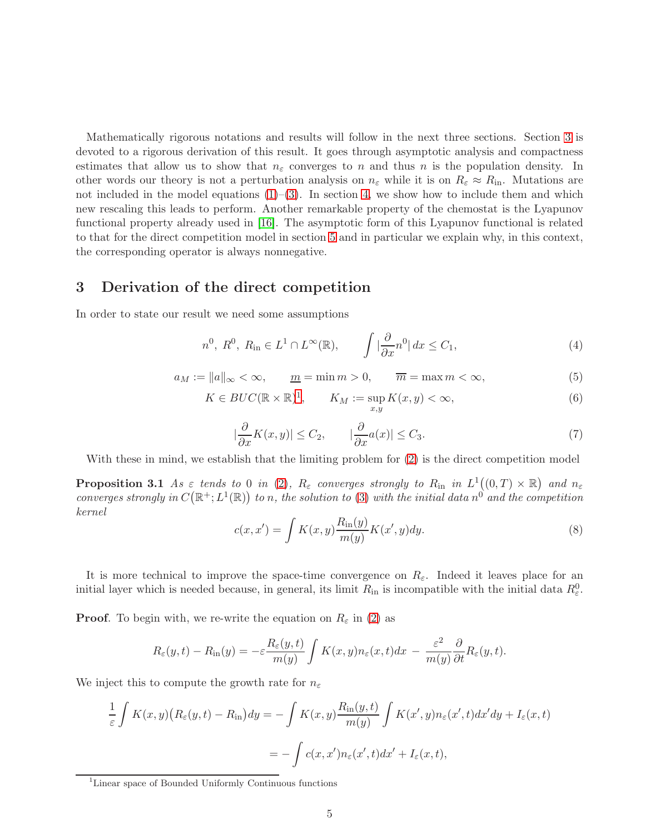Mathematically rigorous notations and results will follow in the next three sections. Section [3](#page-4-0) is devoted to a rigorous derivation of this result. It goes through asymptotic analysis and compactness estimates that allow us to show that  $n_{\varepsilon}$  converges to n and thus n is the population density. In other words our theory is not a perturbation analysis on  $n_{\varepsilon}$  while it is on  $R_{\varepsilon} \approx R_{\rm in}$ . Mutations are not included in the model equations  $(1)$ – $(3)$ . In section [4,](#page-6-0) we show how to include them and which new rescaling this leads to perform. Another remarkable property of the chemostat is the Lyapunov functional property already used in [\[16\]](#page-12-5). The asymptotic form of this Lyapunov functional is related to that for the direct competition model in section [5](#page-7-0) and in particular we explain why, in this context, the corresponding operator is always nonnegative.

#### <span id="page-4-0"></span>3 Derivation of the direct competition

In order to state our result we need some assumptions

<span id="page-4-4"></span>
$$
n^{0}, R^{0}, R_{\text{in}} \in L^{1} \cap L^{\infty}(\mathbb{R}), \qquad \int |\frac{\partial}{\partial x} n^{0}| dx \leq C_{1}, \qquad (4)
$$

$$
a_M := ||a||_{\infty} < \infty, \qquad \underline{m} = \min m > 0, \qquad \overline{m} = \max m < \infty,\tag{5}
$$

$$
K \in BUC(\mathbb{R} \times \mathbb{R})^1, \qquad K_M := \sup_{x,y} K(x,y) < \infty,\tag{6}
$$

<span id="page-4-3"></span>
$$
|\frac{\partial}{\partial x}K(x,y)| \le C_2, \qquad |\frac{\partial}{\partial x}a(x)| \le C_3. \tag{7}
$$

With these in mind, we establish that the limiting problem for [\(2\)](#page-2-1) is the direct competition model

**Proposition 3.1** *As*  $\varepsilon$  *tends to* 0 *in* [\(2\)](#page-2-1)*,*  $R_{\varepsilon}$  *converges strongly to*  $R_{\text{in}}$  *in*  $L^1((0,T) \times \mathbb{R})$  *and*  $n_{\varepsilon}$ *converges strongly in*  $C(\mathbb{R}^+; L^1(\mathbb{R}))$  *to n, the solution to* [\(3\)](#page-3-0) *with the initial data*  $n^0$  *and the competition kernel*

<span id="page-4-2"></span>
$$
c(x, x') = \int K(x, y) \frac{R_{\text{in}}(y)}{m(y)} K(x', y) dy.
$$
\n(8)

It is more technical to improve the space-time convergence on  $R_{\varepsilon}$ . Indeed it leaves place for an initial layer which is needed because, in general, its limit  $R_{\text{in}}$  is incompatible with the initial data  $R_{\varepsilon}^0$ .

**Proof.** To begin with, we re-write the equation on  $R_{\varepsilon}$  in [\(2\)](#page-2-1) as

$$
R_{\varepsilon}(y,t) - R_{\rm in}(y) = -\varepsilon \frac{R_{\varepsilon}(y,t)}{m(y)} \int K(x,y) n_{\varepsilon}(x,t) dx - \frac{\varepsilon^2}{m(y)} \frac{\partial}{\partial t} R_{\varepsilon}(y,t).
$$

We inject this to compute the growth rate for  $n_{\varepsilon}$ 

$$
\frac{1}{\varepsilon} \int K(x,y) \left( R_{\varepsilon}(y,t) - R_{\text{in}} \right) dy = - \int K(x,y) \frac{R_{\text{in}}(y,t)}{m(y)} \int K(x',y) n_{\varepsilon}(x',t) dx' dy + I_{\varepsilon}(x,t)
$$

$$
= - \int c(x,x') n_{\varepsilon}(x',t) dx' + I_{\varepsilon}(x,t),
$$

<span id="page-4-1"></span><sup>1</sup>Linear space of Bounded Uniformly Continuous functions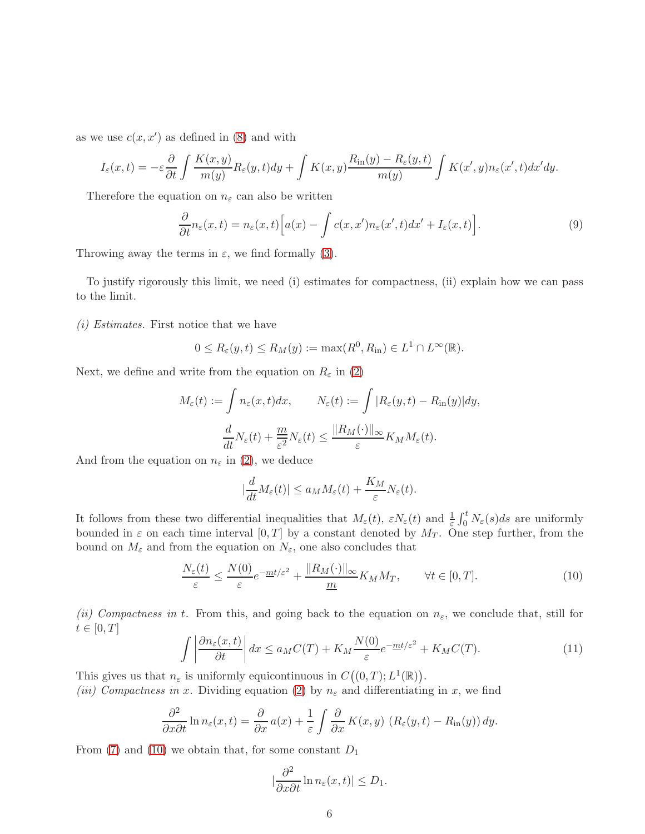as we use  $c(x, x')$  as defined in [\(8\)](#page-4-2) and with

$$
I_{\varepsilon}(x,t) = -\varepsilon \frac{\partial}{\partial t} \int \frac{K(x,y)}{m(y)} R_{\varepsilon}(y,t) dy + \int K(x,y) \frac{R_{\rm in}(y) - R_{\varepsilon}(y,t)}{m(y)} \int K(x',y) n_{\varepsilon}(x',t) dx'dy.
$$

Therefore the equation on  $n_{\varepsilon}$  can also be written

<span id="page-5-1"></span>
$$
\frac{\partial}{\partial t}n_{\varepsilon}(x,t) = n_{\varepsilon}(x,t)\Big[a(x) - \int c(x,x')n_{\varepsilon}(x',t)dx' + I_{\varepsilon}(x,t)\Big].
$$
\n(9)

Throwing away the terms in  $\varepsilon$ , we find formally [\(3\)](#page-3-0).

To justify rigorously this limit, we need (i) estimates for compactness, (ii) explain how we can pass to the limit.

*(i) Estimates.* First notice that we have

$$
0 \leq R_{\varepsilon}(y,t) \leq R_M(y) := \max(R^0, R_{\text{in}}) \in L^1 \cap L^{\infty}(\mathbb{R}).
$$

Next, we define and write from the equation on  $R_{\varepsilon}$  in [\(2\)](#page-2-1)

$$
M_{\varepsilon}(t) := \int n_{\varepsilon}(x, t) dx, \qquad N_{\varepsilon}(t) := \int |R_{\varepsilon}(y, t) - R_{\rm in}(y)| dy,
$$

$$
\frac{d}{dt} N_{\varepsilon}(t) + \frac{m}{\varepsilon^2} N_{\varepsilon}(t) \le \frac{\|R_M(\cdot)\|_{\infty}}{\varepsilon} K_M M_{\varepsilon}(t).
$$

And from the equation on  $n_{\varepsilon}$  in [\(2\)](#page-2-1), we deduce

$$
|\frac{d}{dt}M_{\varepsilon}(t)| \le a_M M_{\varepsilon}(t) + \frac{K_M}{\varepsilon}N_{\varepsilon}(t).
$$

It follows from these two differential inequalities that  $M_{\varepsilon}(t)$ ,  $\varepsilon N_{\varepsilon}(t)$  and  $\frac{1}{\varepsilon}\int_0^t N_{\varepsilon}(s)ds$  are uniformly bounded in  $\varepsilon$  on each time interval  $[0, T]$  by a constant denoted by  $M_T$ . One step further, from the bound on  $M_{\varepsilon}$  and from the equation on  $N_{\varepsilon}$ , one also concludes that

<span id="page-5-0"></span>
$$
\frac{N_{\varepsilon}(t)}{\varepsilon} \le \frac{N(0)}{\varepsilon} e^{-\frac{mt}{\varepsilon}^2} + \frac{\|R_M(\cdot)\|_{\infty}}{\underline{m}} K_M M_T, \qquad \forall t \in [0, T].
$$
\n(10)

*(ii) Compactness in t.* From this, and going back to the equation on  $n_{\varepsilon}$ , we conclude that, still for  $t \in [0, T]$ 

<span id="page-5-2"></span>
$$
\int \left| \frac{\partial n_{\varepsilon}(x,t)}{\partial t} \right| dx \le a_M C(T) + K_M \frac{N(0)}{\varepsilon} e^{-\frac{mt}{\varepsilon}^2} + K_M C(T). \tag{11}
$$

This gives us that  $n_{\varepsilon}$  is uniformly equicontinuous in  $C((0,T);L^{1}(\mathbb{R}))$ .

*(iii) Compactness in* x. Dividing equation [\(2\)](#page-2-1) by  $n_{\varepsilon}$  and differentiating in x, we find

$$
\frac{\partial^2}{\partial x \partial t} \ln n_{\varepsilon}(x, t) = \frac{\partial}{\partial x} a(x) + \frac{1}{\varepsilon} \int \frac{\partial}{\partial x} K(x, y) \left( R_{\varepsilon}(y, t) - R_{\text{in}}(y) \right) dy.
$$

From [\(7\)](#page-4-3) and [\(10\)](#page-5-0) we obtain that, for some constant  $D_1$ 

$$
\left|\frac{\partial^2}{\partial x \partial t} \ln n_{\varepsilon}(x,t)\right| \le D_1.
$$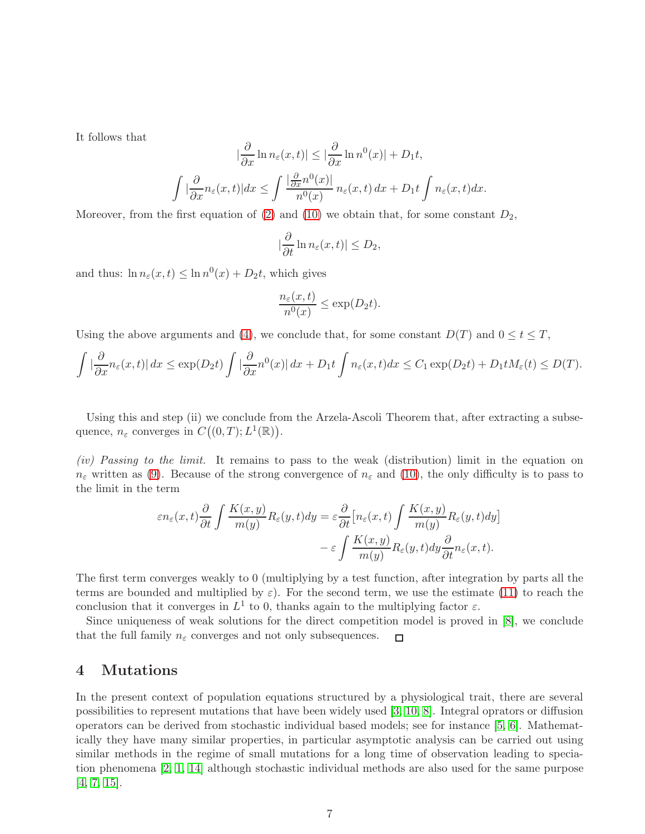It follows that

$$
\left|\frac{\partial}{\partial x}\ln n_{\varepsilon}(x,t)\right| \leq \left|\frac{\partial}{\partial x}\ln n^{0}(x)\right| + D_{1}t,
$$
  

$$
\int \left|\frac{\partial}{\partial x}n_{\varepsilon}(x,t)\right| dx \leq \int \frac{\left|\frac{\partial}{\partial x}n^{0}(x)\right|}{n^{0}(x)} n_{\varepsilon}(x,t) dx + D_{1}t \int n_{\varepsilon}(x,t) dx.
$$

Moreover, from the first equation of  $(2)$  and  $(10)$  we obtain that, for some constant  $D_2$ ,

$$
|\frac{\partial}{\partial t}\ln n_{\varepsilon}(x,t)|\leq D_2,
$$

and thus:  $\ln n_{\varepsilon}(x, t) \leq \ln n^{0}(x) + D_{2}t$ , which gives

$$
\frac{n_{\varepsilon}(x,t)}{n^0(x)} \le \exp(D_2 t).
$$

Using the above arguments and [\(4\)](#page-4-4), we conclude that, for some constant  $D(T)$  and  $0 \le t \le T$ ,

$$
\int \left| \frac{\partial}{\partial x} n_{\varepsilon}(x,t) \right| dx \leq \exp(D_2 t) \int \left| \frac{\partial}{\partial x} n^0(x) \right| dx + D_1 t \int n_{\varepsilon}(x,t) dx \leq C_1 \exp(D_2 t) + D_1 t M_{\varepsilon}(t) \leq D(T).
$$

Using this and step (ii) we conclude from the Arzela-Ascoli Theorem that, after extracting a subsequence,  $n_{\varepsilon}$  converges in  $C((0,T);L^{1}(\mathbb{R}))$ .

*(iv) Passing to the limit.* It remains to pass to the weak (distribution) limit in the equation on  $n_{\varepsilon}$  written as [\(9\)](#page-5-1). Because of the strong convergence of  $n_{\varepsilon}$  and [\(10\)](#page-5-0), the only difficulty is to pass to the limit in the term

$$
\varepsilon n_{\varepsilon}(x,t) \frac{\partial}{\partial t} \int \frac{K(x,y)}{m(y)} R_{\varepsilon}(y,t) dy = \varepsilon \frac{\partial}{\partial t} \Big[ n_{\varepsilon}(x,t) \int \frac{K(x,y)}{m(y)} R_{\varepsilon}(y,t) dy \Big] - \varepsilon \int \frac{K(x,y)}{m(y)} R_{\varepsilon}(y,t) dy \frac{\partial}{\partial t} n_{\varepsilon}(x,t).
$$

The first term converges weakly to 0 (multiplying by a test function, after integration by parts all the terms are bounded and multiplied by  $\varepsilon$ ). For the second term, we use the estimate [\(11\)](#page-5-2) to reach the conclusion that it converges in  $L^1$  to 0, thanks again to the multiplying factor  $\varepsilon$ .

Since uniqueness of weak solutions for the direct competition model is proved in [\[8\]](#page-12-2), we conclude that the full family  $n_{\varepsilon}$  converges and not only subsequences.  $\Box$ 

# <span id="page-6-0"></span>4 Mutations

In the present context of population equations structured by a physiological trait, there are several possibilities to represent mutations that have been widely used [\[3,](#page-12-8) [10,](#page-12-1) [8\]](#page-12-2). Integral oprators or diffusion operators can be derived from stochastic individual based models; see for instance [\[5,](#page-12-9) [6\]](#page-12-10). Mathematically they have many similar properties, in particular asymptotic analysis can be carried out using similar methods in the regime of small mutations for a long time of observation leading to speciation phenomena [\[2,](#page-11-0) [1,](#page-11-1) [14\]](#page-12-11) although stochastic individual methods are also used for the same purpose [\[4,](#page-12-12) [7,](#page-12-13) [15\]](#page-12-14).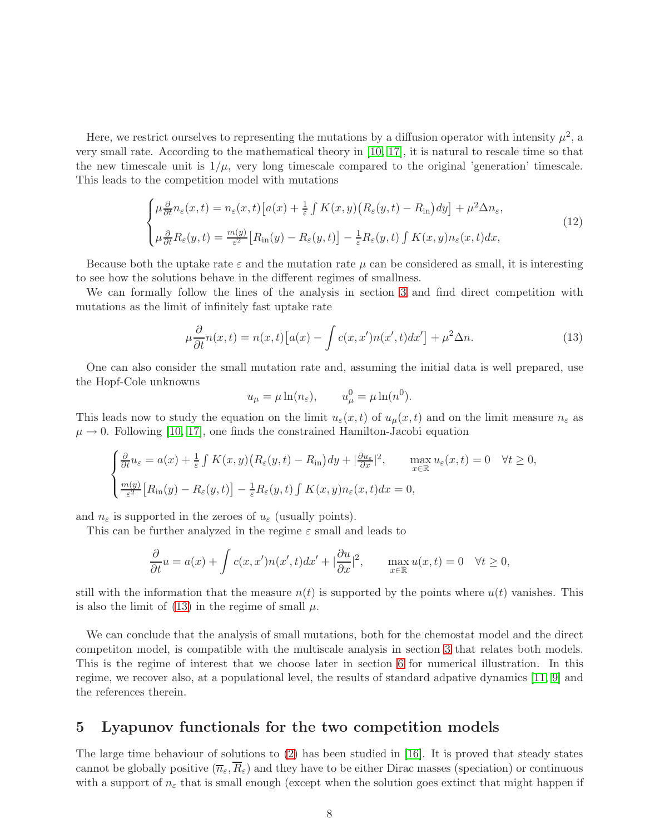Here, we restrict ourselves to representing the mutations by a diffusion operator with intensity  $\mu^2$ , a very small rate. According to the mathematical theory in [\[10,](#page-12-1) [17\]](#page-12-3), it is natural to rescale time so that the new timescale unit is  $1/\mu$ , very long timescale compared to the original 'generation' timescale. This leads to the competition model with mutations

<span id="page-7-2"></span>
$$
\begin{cases}\n\mu \frac{\partial}{\partial t} n_{\varepsilon}(x, t) = n_{\varepsilon}(x, t) \left[ a(x) + \frac{1}{\varepsilon} \int K(x, y) \left( R_{\varepsilon}(y, t) - R_{\text{in}} \right) dy \right] + \mu^2 \Delta n_{\varepsilon}, \\
\mu \frac{\partial}{\partial t} R_{\varepsilon}(y, t) = \frac{m(y)}{\varepsilon^2} \left[ R_{\text{in}}(y) - R_{\varepsilon}(y, t) \right] - \frac{1}{\varepsilon} R_{\varepsilon}(y, t) \int K(x, y) n_{\varepsilon}(x, t) dx,\n\end{cases}
$$
\n(12)

Because both the uptake rate  $\varepsilon$  and the mutation rate  $\mu$  can be considered as small, it is interesting to see how the solutions behave in the different regimes of smallness.

We can formally follow the lines of the analysis in section [3](#page-4-0) and find direct competition with mutations as the limit of infinitely fast uptake rate

<span id="page-7-1"></span>
$$
\mu \frac{\partial}{\partial t} n(x,t) = n(x,t) \left[ a(x) - \int c(x,x')n(x',t)dx' \right] + \mu^2 \Delta n. \tag{13}
$$

One can also consider the small mutation rate and, assuming the initial data is well prepared, use the Hopf-Cole unknowns

$$
u_{\mu} = \mu \ln(n_{\varepsilon}), \qquad u_{\mu}^{0} = \mu \ln(n^{0}).
$$

This leads now to study the equation on the limit  $u_{\varepsilon}(x,t)$  of  $u_{\mu}(x,t)$  and on the limit measure  $n_{\varepsilon}$  as  $\mu \rightarrow 0$ . Following [\[10,](#page-12-1) [17\]](#page-12-3), one finds the constrained Hamilton-Jacobi equation

$$
\begin{cases} \frac{\partial}{\partial t} u_{\varepsilon} = a(x) + \frac{1}{\varepsilon} \int K(x, y) \left( R_{\varepsilon}(y, t) - R_{\text{in}} \right) dy + |\frac{\partial u_{\varepsilon}}{\partial x}|^2, & \max_{x \in \mathbb{R}} u_{\varepsilon}(x, t) = 0 \quad \forall t \ge 0, \\ \frac{m(y)}{\varepsilon^2} \left[ R_{\text{in}}(y) - R_{\varepsilon}(y, t) \right] - \frac{1}{\varepsilon} R_{\varepsilon}(y, t) \int K(x, y) n_{\varepsilon}(x, t) dx = 0, \end{cases}
$$

and  $n_{\varepsilon}$  is supported in the zeroes of  $u_{\varepsilon}$  (usually points).

This can be further analyzed in the regime  $\varepsilon$  small and leads to

$$
\frac{\partial}{\partial t}u = a(x) + \int c(x, x')n(x', t)dx' + |\frac{\partial u}{\partial x}|^2, \quad \max_{x \in \mathbb{R}} u(x, t) = 0 \quad \forall t \ge 0,
$$

still with the information that the measure  $n(t)$  is supported by the points where  $u(t)$  vanishes. This is also the limit of  $(13)$  in the regime of small  $\mu$ .

We can conclude that the analysis of small mutations, both for the chemostat model and the direct competiton model, is compatible with the multiscale analysis in section [3](#page-4-0) that relates both models. This is the regime of interest that we choose later in section [6](#page-9-0) for numerical illustration. In this regime, we recover also, at a populational level, the results of standard adpative dynamics [\[11,](#page-12-15) [9\]](#page-12-16) and the references therein.

#### <span id="page-7-0"></span>5 Lyapunov functionals for the two competition models

The large time behaviour of solutions to [\(2\)](#page-2-1) has been studied in [\[16\]](#page-12-5). It is proved that steady states cannot be globally positive  $(\overline{n}_{\varepsilon}, R_{\varepsilon})$  and they have to be either Dirac masses (speciation) or continuous with a support of  $n_{\varepsilon}$  that is small enough (except when the solution goes extinct that might happen if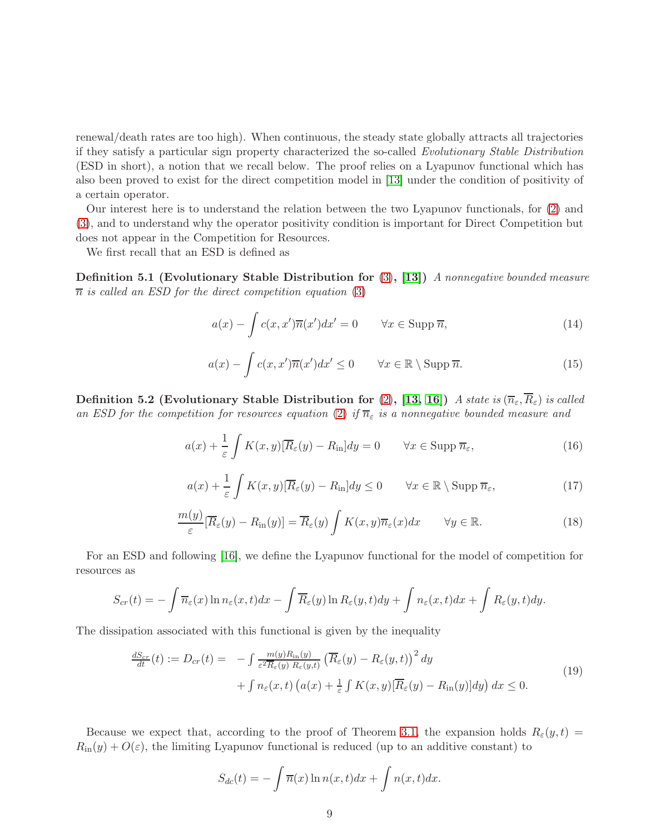renewal/death rates are too high). When continuous, the steady state globally attracts all trajectories if they satisfy a particular sign property characterized the so-called *Evolutionary Stable Distribution* (ESD in short), a notion that we recall below. The proof relies on a Lyapunov functional which has also been proved to exist for the direct competition model in [\[13\]](#page-12-4) under the condition of positivity of a certain operator.

Our interest here is to understand the relation between the two Lyapunov functionals, for [\(2\)](#page-2-1) and [\(3\)](#page-3-0), and to understand why the operator positivity condition is important for Direct Competition but does not appear in the Competition for Resources.

We first recall that an ESD is defined as

Definition 5.1 (Evolutionary Stable Distribution for [\(3\)](#page-3-0), [\[13\]](#page-12-4)) *A nonnegative bounded measure*  $\overline{n}$  *is called an ESD for the direct competition equation* [\(3\)](#page-3-0)

$$
a(x) - \int c(x, x')\overline{n}(x')dx' = 0 \qquad \forall x \in \text{Supp } \overline{n}, \tag{14}
$$

$$
a(x) - \int c(x, x') \overline{n}(x') dx' \le 0 \qquad \forall x \in \mathbb{R} \setminus \text{Supp } \overline{n}.
$$
 (15)

Definition 5.2 (Evolutionary Stable Distribution for [\(2\)](#page-2-1), [\[13,](#page-12-4) [16\]](#page-12-5)) *A state is*  $(\overline{n}_{\varepsilon}, \overline{R}_{\varepsilon})$  *is called* an ESD for the competition for resources equation [\(2\)](#page-2-1) if  $\overline{n}_{\varepsilon}$  is a nonnegative bounded measure and

$$
a(x) + \frac{1}{\varepsilon} \int K(x, y) [\overline{R}_{\varepsilon}(y) - R_{\rm in}] dy = 0 \qquad \forall x \in \text{Supp } \overline{n}_{\varepsilon}, \tag{16}
$$

$$
a(x) + \frac{1}{\varepsilon} \int K(x, y) [\overline{R}_{\varepsilon}(y) - R_{\rm in}] dy \le 0 \qquad \forall x \in \mathbb{R} \setminus \text{Supp } \overline{n}_{\varepsilon}, \tag{17}
$$

$$
\frac{m(y)}{\varepsilon} [\overline{R}_{\varepsilon}(y) - R_{\text{in}}(y)] = \overline{R}_{\varepsilon}(y) \int K(x, y) \overline{n}_{\varepsilon}(x) dx \qquad \forall y \in \mathbb{R}.
$$
\n(18)

For an ESD and following [\[16\]](#page-12-5), we define the Lyapunov functional for the model of competition for resources as

$$
S_{cr}(t) = -\int \overline{n}_{\varepsilon}(x) \ln n_{\varepsilon}(x,t) dx - \int \overline{R}_{\varepsilon}(y) \ln R_{\varepsilon}(y,t) dy + \int n_{\varepsilon}(x,t) dx + \int R_{\varepsilon}(y,t) dy.
$$

The dissipation associated with this functional is given by the inequality

$$
\frac{dS_{cr}}{dt}(t) := D_{cr}(t) = -\int \frac{m(y)R_{\rm in}(y)}{\varepsilon^2 \overline{R}_{\varepsilon}(y) R_{\varepsilon}(y,t)} \left(\overline{R}_{\varepsilon}(y) - R_{\varepsilon}(y,t)\right)^2 dy \n+ \int n_{\varepsilon}(x,t) \left(a(x) + \frac{1}{\varepsilon} \int K(x,y) [\overline{R}_{\varepsilon}(y) - R_{\rm in}(y)] dy\right) dx \le 0.
$$
\n(19)

Because we expect that, according to the proof of Theorem [3.1,](#page-4-2) the expansion holds  $R_{\varepsilon}(y, t) =$  $R_{\text{in}}(y) + O(\varepsilon)$ , the limiting Lyapunov functional is reduced (up to an additive constant) to

$$
S_{dc}(t) = -\int \overline{n}(x) \ln n(x, t) dx + \int n(x, t) dx.
$$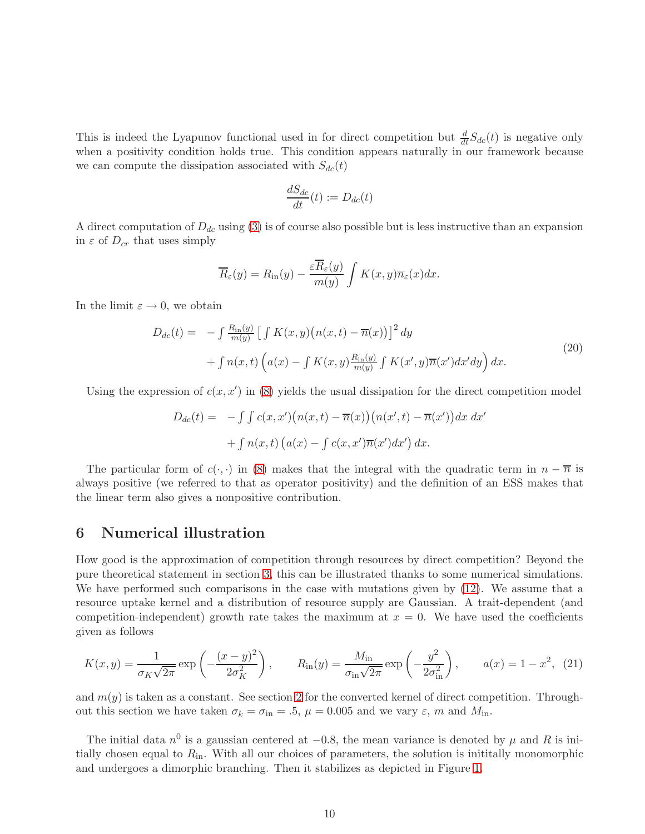This is indeed the Lyapunov functional used in for direct competition but  $\frac{d}{dt}S_{dc}(t)$  is negative only when a positivity condition holds true. This condition appears naturally in our framework because we can compute the dissipation associated with  $S_{dc}(t)$ 

$$
\frac{dS_{dc}}{dt}(t) := D_{dc}(t)
$$

A direct computation of  $D_{dc}$  using [\(3\)](#page-3-0) is of course also possible but is less instructive than an expansion in  $\varepsilon$  of  $D_{cr}$  that uses simply

$$
\overline{R}_{\varepsilon}(y) = R_{\rm in}(y) - \frac{\varepsilon \overline{R}_{\varepsilon}(y)}{m(y)} \int K(x, y) \overline{n}_{\varepsilon}(x) dx.
$$

In the limit  $\varepsilon \to 0$ , we obtain

$$
D_{dc}(t) = -\int \frac{R_{\rm in}(y)}{m(y)} \left[ \int K(x, y) \left( n(x, t) - \overline{n}(x) \right) \right]^2 dy
$$
  
+ 
$$
\int n(x, t) \left( a(x) - \int K(x, y) \frac{R_{\rm in}(y)}{m(y)} \int K(x', y) \overline{n}(x') dx' dy \right) dx.
$$
 (20)

Using the expression of  $c(x, x')$  in [\(8\)](#page-4-2) yields the usual dissipation for the direct competition model

$$
D_{dc}(t) = -\int \int c(x, x') \big(n(x, t) - \overline{n}(x)\big) \big(n(x', t) - \overline{n}(x')\big) dx dx'
$$

$$
+ \int n(x, t) \big(a(x) - \int c(x, x') \overline{n}(x') dx'\big) dx.
$$

The particular form of  $c(\cdot, \cdot)$  in [\(8\)](#page-4-2) makes that the integral with the quadratic term in  $n - \overline{n}$  is always positive (we referred to that as operator positivity) and the definition of an ESS makes that the linear term also gives a nonpositive contribution.

#### <span id="page-9-0"></span>6 Numerical illustration

How good is the approximation of competition through resources by direct competition? Beyond the pure theoretical statement in section [3,](#page-4-0) this can be illustrated thanks to some numerical simulations. We have performed such comparisons in the case with mutations given by  $(12)$ . We assume that a resource uptake kernel and a distribution of resource supply are Gaussian. A trait-dependent (and competition-independent) growth rate takes the maximum at  $x = 0$ . We have used the coefficients given as follows

$$
K(x,y) = \frac{1}{\sigma_K \sqrt{2\pi}} \exp\left(-\frac{(x-y)^2}{2\sigma_K^2}\right), \qquad R_{\rm in}(y) = \frac{M_{\rm in}}{\sigma_{\rm in} \sqrt{2\pi}} \exp\left(-\frac{y^2}{2\sigma_{\rm in}^2}\right), \qquad a(x) = 1 - x^2, \tag{21}
$$

and  $m(y)$  is taken as a constant. See section [2](#page-1-0) for the converted kernel of direct competition. Throughout this section we have taken  $\sigma_k = \sigma_{\text{in}} = .5$ ,  $\mu = 0.005$  and we vary  $\varepsilon$ , m and  $M_{\text{in}}$ .

The initial data  $n^0$  is a gaussian centered at  $-0.8$ , the mean variance is denoted by  $\mu$  and R is initially chosen equal to  $R_{\rm in}$ . With all our choices of parameters, the solution is inititally monomorphic and undergoes a dimorphic branching. Then it stabilizes as depicted in Figure [1.](#page-10-0)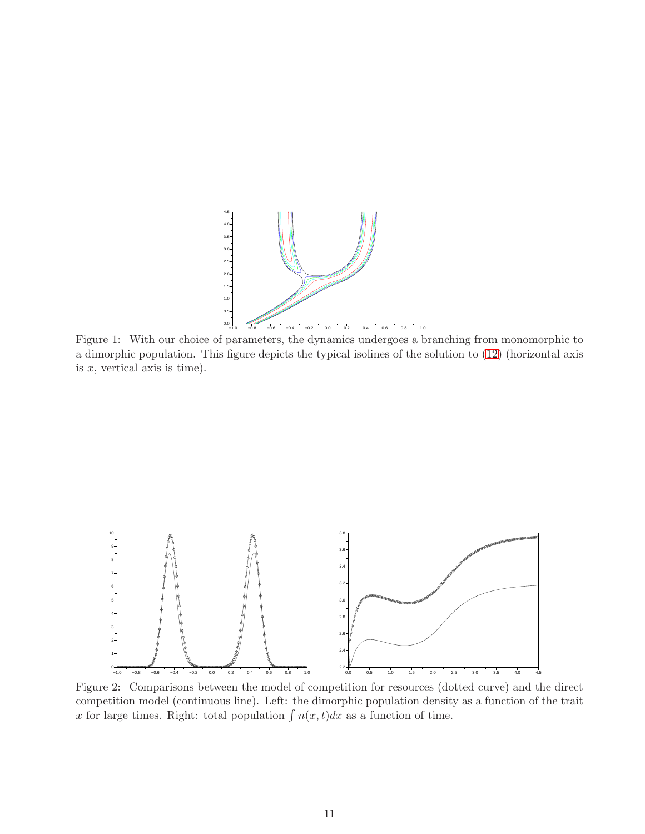

<span id="page-10-0"></span>Figure 1: With our choice of parameters, the dynamics undergoes a branching from monomorphic to a dimorphic population. This figure depicts the typical isolines of the solution to [\(12\)](#page-7-2) (horizontal axis is  $x$ , vertical axis is time).



<span id="page-10-1"></span>Figure 2: Comparisons between the model of competition for resources (dotted curve) and the direct competition model (continuous line). Left: the dimorphic population density as a function of the trait x for large times. Right: total population  $\int n(x, t)dx$  as a function of time.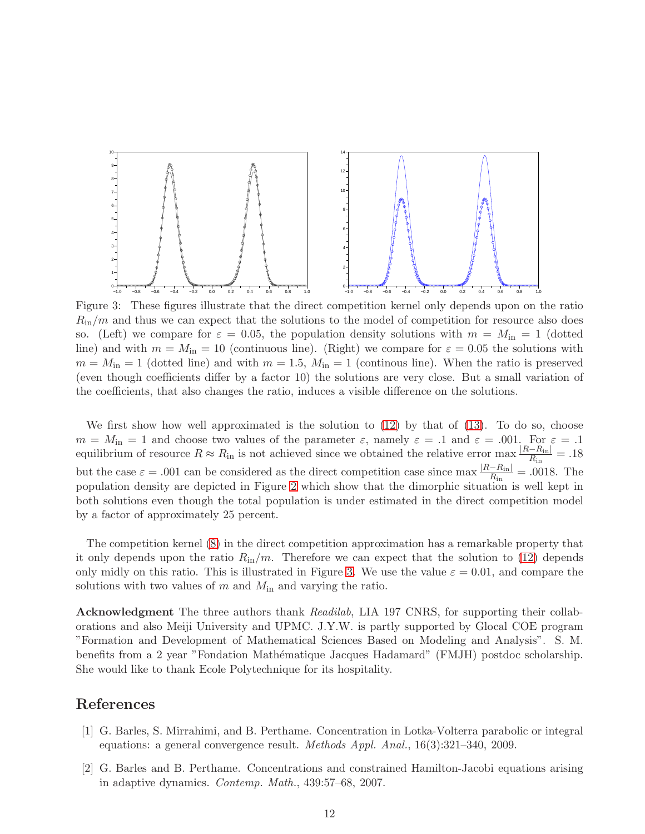

<span id="page-11-2"></span>Figure 3: These figures illustrate that the direct competition kernel only depends upon on the ratio  $R_{\rm in}/m$  and thus we can expect that the solutions to the model of competition for resource also does so. (Left) we compare for  $\varepsilon = 0.05$ , the population density solutions with  $m = M_{\rm in} = 1$  (dotted line) and with  $m = M_{\text{in}} = 10$  (continuous line). (Right) we compare for  $\varepsilon = 0.05$  the solutions with  $m = M_{\rm in} = 1$  (dotted line) and with  $m = 1.5$ ,  $M_{\rm in} = 1$  (continous line). When the ratio is preserved (even though coefficients differ by a factor 10) the solutions are very close. But a small variation of the coefficients, that also changes the ratio, induces a visible difference on the solutions.

We first show how well approximated is the solution to  $(12)$  by that of  $(13)$ . To do so, choose  $m = M_{\text{in}} = 1$  and choose two values of the parameter  $\varepsilon$ , namely  $\varepsilon = .1$  and  $\varepsilon = .001$ . For  $\varepsilon = .1$ equilibrium of resource  $R \approx R_{\rm in}$  is not achieved since we obtained the relative error max  $\frac{|R - R_{\rm in}|}{R_{\rm in}} = .18$ but the case  $\varepsilon = .001$  can be considered as the direct competition case since max  $\frac{|R-R_{\rm in}|}{R}$  $\frac{-R_{\text{in}}}{R_{\text{in}}}$  = .0018. The population density are depicted in Figure [2](#page-10-1) which show that the dimorphic situation is well kept in both solutions even though the total population is under estimated in the direct competition model by a factor of approximately 25 percent.

The competition kernel [\(8\)](#page-4-2) in the direct competition approximation has a remarkable property that it only depends upon the ratio  $R_{\rm in}/m$ . Therefore we can expect that the solution to [\(12\)](#page-7-2) depends only midly on this ratio. This is illustrated in Figure [3.](#page-11-2) We use the value  $\varepsilon = 0.01$ , and compare the solutions with two values of  $m$  and  $M_{\text{in}}$  and varying the ratio.

Acknowledgment The three authors thank *Readilab*, LIA 197 CNRS, for supporting their collaborations and also Meiji University and UPMC. J.Y.W. is partly supported by Glocal COE program "Formation and Development of Mathematical Sciences Based on Modeling and Analysis". S. M. benefits from a 2 year "Fondation Mathématique Jacques Hadamard" (FMJH) postdoc scholarship. She would like to thank Ecole Polytechnique for its hospitality.

# <span id="page-11-1"></span>References

- [1] G. Barles, S. Mirrahimi, and B. Perthame. Concentration in Lotka-Volterra parabolic or integral equations: a general convergence result. *Methods Appl. Anal.*, 16(3):321–340, 2009.
- <span id="page-11-0"></span>[2] G. Barles and B. Perthame. Concentrations and constrained Hamilton-Jacobi equations arising in adaptive dynamics. *Contemp. Math.*, 439:57–68, 2007.